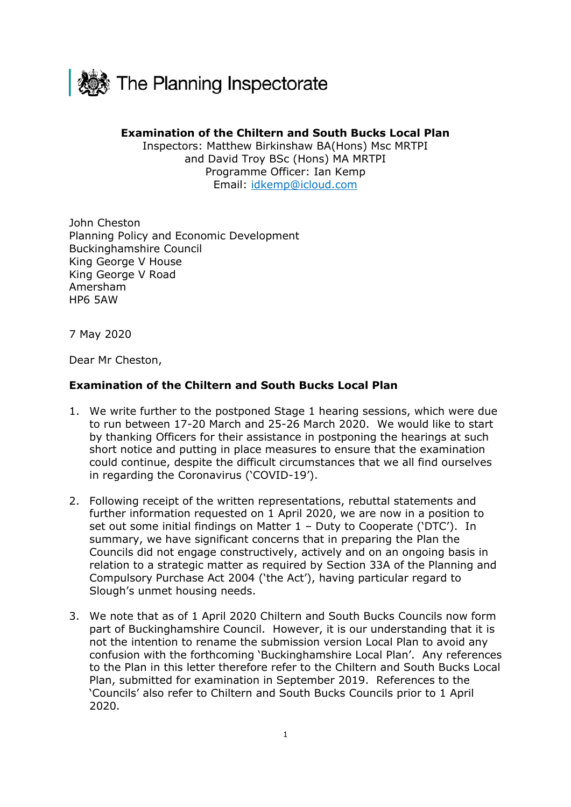

## **Examination of the Chiltern and South Bucks Local Plan**

Inspectors: Matthew Birkinshaw BA(Hons) Msc MRTPI and David Troy BSc (Hons) MA MRTPI Programme Officer: Ian Kemp Email: idkemp@icloud.com

John Cheston Planning Policy and Economic Development Buckinghamshire Council King George V House King George V Road Amersham HP6 5AW

7 May 2020

Dear Mr Cheston,

## **Examination of the Chiltern and South Bucks Local Plan**

- 1. We write further to the postponed Stage 1 hearing sessions, which were due to run between 17-20 March and 25-26 March 2020. We would like to start by thanking Officers for their assistance in postponing the hearings at such short notice and putting in place measures to ensure that the examination could continue, despite the difficult circumstances that we all find ourselves in regarding the Coronavirus ('COVID-19').
- 2. Following receipt of the written representations, rebuttal statements and further information requested on 1 April 2020, we are now in a position to set out some initial findings on Matter 1 – Duty to Cooperate ('DTC'). In summary, we have significant concerns that in preparing the Plan the Councils did not engage constructively, actively and on an ongoing basis in relation to a strategic matter as required by Section 33A of the Planning and Compulsory Purchase Act 2004 ('the Act'), having particular regard to Slough's unmet housing needs.
- 3. We note that as of 1 April 2020 Chiltern and South Bucks Councils now form part of Buckinghamshire Council. However, it is our understanding that it is not the intention to rename the submission version Local Plan to avoid any confusion with the forthcoming 'Buckinghamshire Local Plan'. Any references to the Plan in this letter therefore refer to the Chiltern and South Bucks Local Plan, submitted for examination in September 2019. References to the 'Councils' also refer to Chiltern and South Bucks Councils prior to 1 April 2020.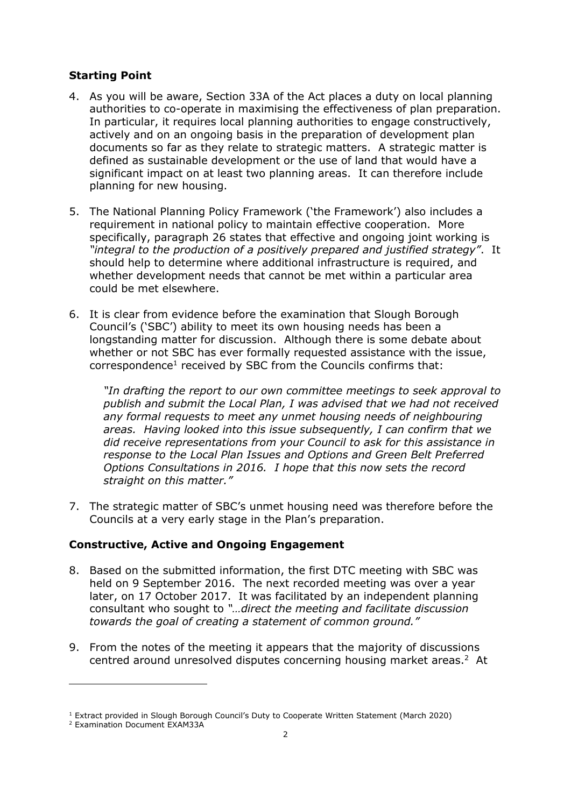## **Starting Point**

- 4. As you will be aware, Section 33A of the Act places a duty on local planning authorities to co-operate in maximising the effectiveness of plan preparation. In particular, it requires local planning authorities to engage constructively, actively and on an ongoing basis in the preparation of development plan documents so far as they relate to strategic matters. A strategic matter is defined as sustainable development or the use of land that would have a significant impact on at least two planning areas. It can therefore include planning for new housing.
- 5. The National Planning Policy Framework ('the Framework') also includes a requirement in national policy to maintain effective cooperation. More specifically, paragraph 26 states that effective and ongoing joint working is *"integral to the production of a positively prepared and justified strategy"*. It should help to determine where additional infrastructure is required, and whether development needs that cannot be met within a particular area could be met elsewhere.
- 6. It is clear from evidence before the examination that Slough Borough Council's ('SBC') ability to meet its own housing needs has been a longstanding matter for discussion. Although there is some debate about whether or not SBC has ever formally requested assistance with the issue, correspondence<sup>1</sup> received by SBC from the Councils confirms that:

*"In drafting the report to our own committee meetings to seek approval to publish and submit the Local Plan, I was advised that we had not received any formal requests to meet any unmet housing needs of neighbouring areas. Having looked into this issue subsequently, I can confirm that we did receive representations from your Council to ask for this assistance in response to the Local Plan Issues and Options and Green Belt Preferred Options Consultations in 2016. I hope that this now sets the record straight on this matter."* 

7. The strategic matter of SBC's unmet housing need was therefore before the Councils at a very early stage in the Plan's preparation.

## **Constructive, Active and Ongoing Engagement**

- 8. Based on the submitted information, the first DTC meeting with SBC was held on 9 September 2016. The next recorded meeting was over a year later, on 17 October 2017. It was facilitated by an independent planning consultant who sought to *"…direct the meeting and facilitate discussion towards the goal of creating a statement of common ground."*
- 9. From the notes of the meeting it appears that the majority of discussions centred around unresolved disputes concerning housing market areas.<sup>2</sup> At

 $1$  Extract provided in Slough Borough Council's Duty to Cooperate Written Statement (March 2020)

<sup>2</sup> Examination Document EXAM33A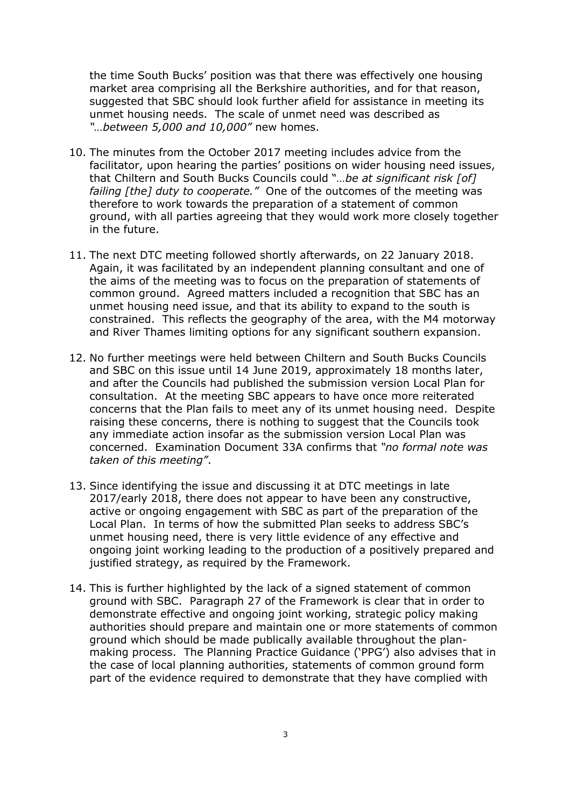the time South Bucks' position was that there was effectively one housing market area comprising all the Berkshire authorities, and for that reason, suggested that SBC should look further afield for assistance in meeting its unmet housing needs. The scale of unmet need was described as *"…between 5,000 and 10,000"* new homes.

- 10. The minutes from the October 2017 meeting includes advice from the facilitator, upon hearing the parties' positions on wider housing need issues, that Chiltern and South Bucks Councils could "*…be at significant risk [of] failing [the] duty to cooperate."* One of the outcomes of the meeting was therefore to work towards the preparation of a statement of common ground, with all parties agreeing that they would work more closely together in the future.
- 11. The next DTC meeting followed shortly afterwards, on 22 January 2018. Again, it was facilitated by an independent planning consultant and one of the aims of the meeting was to focus on the preparation of statements of common ground. Agreed matters included a recognition that SBC has an unmet housing need issue, and that its ability to expand to the south is constrained. This reflects the geography of the area, with the M4 motorway and River Thames limiting options for any significant southern expansion.
- 12. No further meetings were held between Chiltern and South Bucks Councils and SBC on this issue until 14 June 2019, approximately 18 months later, and after the Councils had published the submission version Local Plan for consultation. At the meeting SBC appears to have once more reiterated concerns that the Plan fails to meet any of its unmet housing need. Despite raising these concerns, there is nothing to suggest that the Councils took any immediate action insofar as the submission version Local Plan was concerned. Examination Document 33A confirms that *"no formal note was taken of this meeting"*.
- 13. Since identifying the issue and discussing it at DTC meetings in late 2017/early 2018, there does not appear to have been any constructive, active or ongoing engagement with SBC as part of the preparation of the Local Plan. In terms of how the submitted Plan seeks to address SBC's unmet housing need, there is very little evidence of any effective and ongoing joint working leading to the production of a positively prepared and justified strategy, as required by the Framework.
- 14. This is further highlighted by the lack of a signed statement of common ground with SBC. Paragraph 27 of the Framework is clear that in order to demonstrate effective and ongoing joint working, strategic policy making authorities should prepare and maintain one or more statements of common ground which should be made publically available throughout the planmaking process. The Planning Practice Guidance ('PPG') also advises that in the case of local planning authorities, statements of common ground form part of the evidence required to demonstrate that they have complied with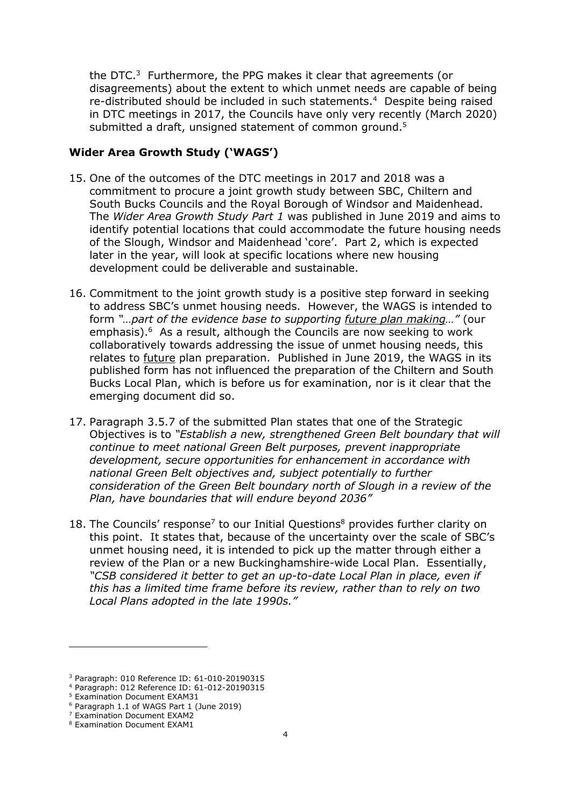the DTC. $3$  Furthermore, the PPG makes it clear that agreements (or disagreements) about the extent to which unmet needs are capable of being re-distributed should be included in such statements.<sup>4</sup> Despite being raised in DTC meetings in 2017, the Councils have only very recently (March 2020) submitted a draft, unsigned statement of common ground. $5$ 

#### **Wider Area Growth Study ('WAGS')**

- 15. One of the outcomes of the DTC meetings in 2017 and 2018 was a commitment to procure a joint growth study between SBC, Chiltern and South Bucks Councils and the Royal Borough of Windsor and Maidenhead. The *Wider Area Growth Study Part 1* was published in June 2019 and aims to identify potential locations that could accommodate the future housing needs of the Slough, Windsor and Maidenhead 'core'. Part 2, which is expected later in the year, will look at specific locations where new housing development could be deliverable and sustainable.
- 16. Commitment to the joint growth study is a positive step forward in seeking to address SBC's unmet housing needs. However, the WAGS is intended to form *"…part of the evidence base to supporting future plan making…"* (our emphasis).<sup>6</sup> As a result, although the Councils are now seeking to work collaboratively towards addressing the issue of unmet housing needs, this relates to future plan preparation. Published in June 2019, the WAGS in its published form has not influenced the preparation of the Chiltern and South Bucks Local Plan, which is before us for examination, nor is it clear that the emerging document did so.
- 17. Paragraph 3.5.7 of the submitted Plan states that one of the Strategic Objectives is to *"Establish a new, strengthened Green Belt boundary that will continue to meet national Green Belt purposes, prevent inappropriate development, secure opportunities for enhancement in accordance with national Green Belt objectives and, subject potentially to further consideration of the Green Belt boundary north of Slough in a review of the Plan, have boundaries that will endure beyond 2036"*
- 18. The Councils' response<sup>7</sup> to our Initial Questions<sup>8</sup> provides further clarity on this point. It states that, because of the uncertainty over the scale of SBC's unmet housing need, it is intended to pick up the matter through either a review of the Plan or a new Buckinghamshire-wide Local Plan. Essentially, *"CSB considered it better to get an up-to-date Local Plan in place, even if this has a limited time frame before its review, rather than to rely on two Local Plans adopted in the late 1990s."*

<sup>3</sup> Paragraph: 010 Reference ID: 61-010-20190315

<sup>4</sup> Paragraph: 012 Reference ID: 61-012-20190315

<sup>5</sup> Examination Document EXAM31

<sup>6</sup> Paragraph 1.1 of WAGS Part 1 (June 2019)

<sup>7</sup> Examination Document EXAM2

<sup>8</sup> Examination Document EXAM1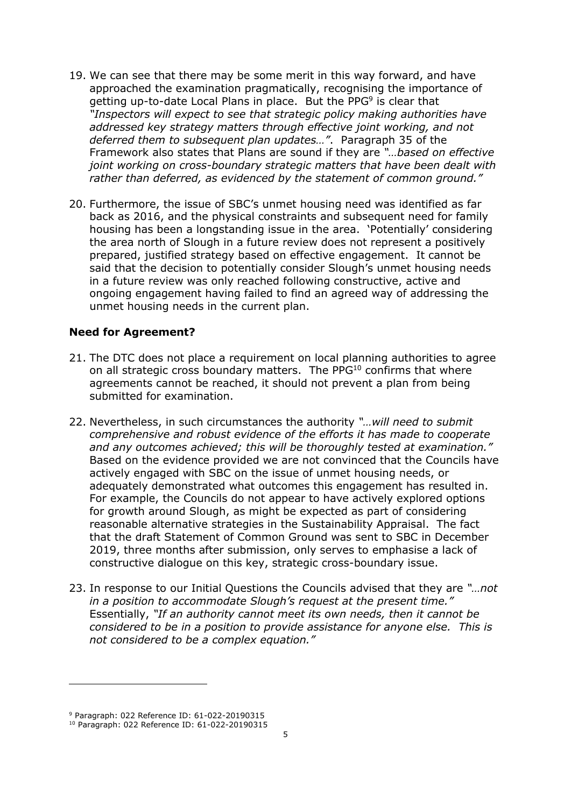- 19. We can see that there may be some merit in this way forward, and have approached the examination pragmatically, recognising the importance of getting up-to-date Local Plans in place. But the PPG<sup>9</sup> is clear that *"Inspectors will expect to see that strategic policy making authorities have addressed key strategy matters through effective joint working, and not deferred them to subsequent plan updates…"*. Paragraph 35 of the Framework also states that Plans are sound if they are *"…based on effective joint working on cross-boundary strategic matters that have been dealt with rather than deferred, as evidenced by the statement of common ground."*
- 20. Furthermore, the issue of SBC's unmet housing need was identified as far back as 2016, and the physical constraints and subsequent need for family housing has been a longstanding issue in the area. 'Potentially' considering the area north of Slough in a future review does not represent a positively prepared, justified strategy based on effective engagement. It cannot be said that the decision to potentially consider Slough's unmet housing needs in a future review was only reached following constructive, active and ongoing engagement having failed to find an agreed way of addressing the unmet housing needs in the current plan.

### **Need for Agreement?**

- 21. The DTC does not place a requirement on local planning authorities to agree on all strategic cross boundary matters. The PPG<sup>10</sup> confirms that where agreements cannot be reached, it should not prevent a plan from being submitted for examination.
- 22. Nevertheless, in such circumstances the authority *"…will need to submit comprehensive and robust evidence of the efforts it has made to cooperate*  and any outcomes achieved; this will be thoroughly tested at examination." Based on the evidence provided we are not convinced that the Councils have actively engaged with SBC on the issue of unmet housing needs, or adequately demonstrated what outcomes this engagement has resulted in. For example, the Councils do not appear to have actively explored options for growth around Slough, as might be expected as part of considering reasonable alternative strategies in the Sustainability Appraisal. The fact that the draft Statement of Common Ground was sent to SBC in December 2019, three months after submission, only serves to emphasise a lack of constructive dialogue on this key, strategic cross-boundary issue.
- 23. In response to our Initial Questions the Councils advised that they are *"…not in a position to accommodate Slough's request at the present time."* Essentially, *"If an authority cannot meet its own needs, then it cannot be considered to be in a position to provide assistance for anyone else. This is not considered to be a complex equation."*

<sup>9</sup> Paragraph: 022 Reference ID: 61-022-20190315

<sup>10</sup> Paragraph: 022 Reference ID: 61-022-20190315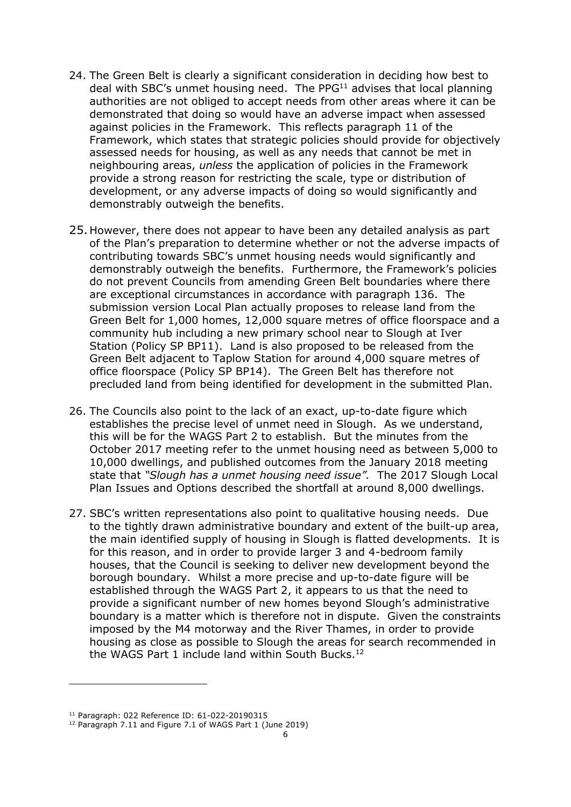- 24. The Green Belt is clearly a significant consideration in deciding how best to deal with SBC's unmet housing need. The PPG<sup>11</sup> advises that local planning authorities are not obliged to accept needs from other areas where it can be demonstrated that doing so would have an adverse impact when assessed against policies in the Framework. This reflects paragraph 11 of the Framework, which states that strategic policies should provide for objectively assessed needs for housing, as well as any needs that cannot be met in neighbouring areas, *unless* the application of policies in the Framework provide a strong reason for restricting the scale, type or distribution of development, or any adverse impacts of doing so would significantly and demonstrably outweigh the benefits.
- 25.However, there does not appear to have been any detailed analysis as part of the Plan's preparation to determine whether or not the adverse impacts of contributing towards SBC's unmet housing needs would significantly and demonstrably outweigh the benefits. Furthermore, the Framework's policies do not prevent Councils from amending Green Belt boundaries where there are exceptional circumstances in accordance with paragraph 136. The submission version Local Plan actually proposes to release land from the Green Belt for 1,000 homes, 12,000 square metres of office floorspace and a community hub including a new primary school near to Slough at Iver Station (Policy SP BP11). Land is also proposed to be released from the Green Belt adjacent to Taplow Station for around 4,000 square metres of office floorspace (Policy SP BP14). The Green Belt has therefore not precluded land from being identified for development in the submitted Plan.
- 26. The Councils also point to the lack of an exact, up-to-date figure which establishes the precise level of unmet need in Slough. As we understand, this will be for the WAGS Part 2 to establish. But the minutes from the October 2017 meeting refer to the unmet housing need as between 5,000 to 10,000 dwellings, and published outcomes from the January 2018 meeting state that *"Slough has a unmet housing need issue".* The 2017 Slough Local Plan Issues and Options described the shortfall at around 8,000 dwellings.
- 27. SBC's written representations also point to qualitative housing needs. Due to the tightly drawn administrative boundary and extent of the built-up area, the main identified supply of housing in Slough is flatted developments. It is for this reason, and in order to provide larger 3 and 4-bedroom family houses, that the Council is seeking to deliver new development beyond the borough boundary. Whilst a more precise and up-to-date figure will be established through the WAGS Part 2, it appears to us that the need to provide a significant number of new homes beyond Slough's administrative boundary is a matter which is therefore not in dispute. Given the constraints imposed by the M4 motorway and the River Thames, in order to provide housing as close as possible to Slough the areas for search recommended in the WAGS Part 1 include land within South Bucks.<sup>12</sup>

<sup>11</sup> Paragraph: 022 Reference ID: 61-022-20190315

<sup>&</sup>lt;sup>12</sup> Paragraph 7.11 and Figure 7.1 of WAGS Part 1 (June 2019)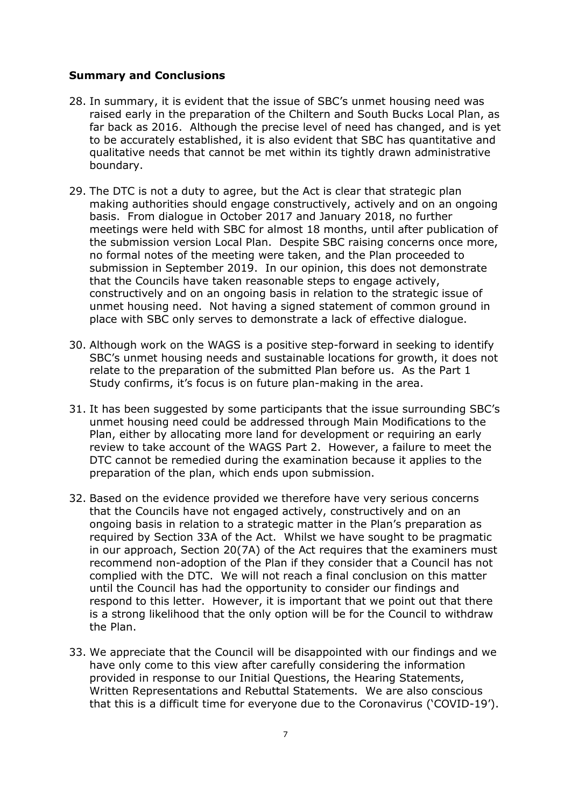#### **Summary and Conclusions**

- 28. In summary, it is evident that the issue of SBC's unmet housing need was raised early in the preparation of the Chiltern and South Bucks Local Plan, as far back as 2016. Although the precise level of need has changed, and is yet to be accurately established, it is also evident that SBC has quantitative and qualitative needs that cannot be met within its tightly drawn administrative boundary.
- 29. The DTC is not a duty to agree, but the Act is clear that strategic plan making authorities should engage constructively, actively and on an ongoing basis. From dialogue in October 2017 and January 2018, no further meetings were held with SBC for almost 18 months, until after publication of the submission version Local Plan. Despite SBC raising concerns once more, no formal notes of the meeting were taken, and the Plan proceeded to submission in September 2019. In our opinion, this does not demonstrate that the Councils have taken reasonable steps to engage actively, constructively and on an ongoing basis in relation to the strategic issue of unmet housing need. Not having a signed statement of common ground in place with SBC only serves to demonstrate a lack of effective dialogue.
- 30. Although work on the WAGS is a positive step-forward in seeking to identify SBC's unmet housing needs and sustainable locations for growth, it does not relate to the preparation of the submitted Plan before us. As the Part 1 Study confirms, it's focus is on future plan-making in the area.
- 31. It has been suggested by some participants that the issue surrounding SBC's unmet housing need could be addressed through Main Modifications to the Plan, either by allocating more land for development or requiring an early review to take account of the WAGS Part 2. However, a failure to meet the DTC cannot be remedied during the examination because it applies to the preparation of the plan, which ends upon submission.
- 32. Based on the evidence provided we therefore have very serious concerns that the Councils have not engaged actively, constructively and on an ongoing basis in relation to a strategic matter in the Plan's preparation as required by Section 33A of the Act. Whilst we have sought to be pragmatic in our approach, Section 20(7A) of the Act requires that the examiners must recommend non-adoption of the Plan if they consider that a Council has not complied with the DTC. We will not reach a final conclusion on this matter until the Council has had the opportunity to consider our findings and respond to this letter. However, it is important that we point out that there is a strong likelihood that the only option will be for the Council to withdraw the Plan.
- 33. We appreciate that the Council will be disappointed with our findings and we have only come to this view after carefully considering the information provided in response to our Initial Questions, the Hearing Statements, Written Representations and Rebuttal Statements. We are also conscious that this is a difficult time for everyone due to the Coronavirus ('COVID-19').